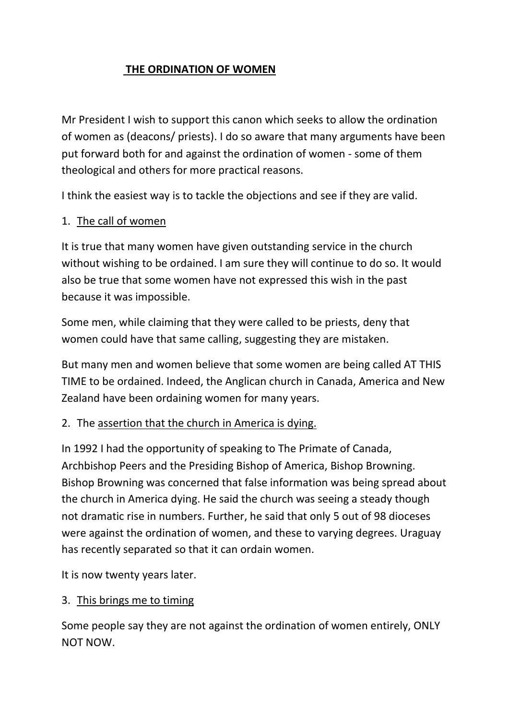### **THE ORDINATION OF WOMEN**

Mr President I wish to support this canon which seeks to allow the ordination of women as (deacons/ priests). I do so aware that many arguments have been put forward both for and against the ordination of women - some of them theological and others for more practical reasons.

I think the easiest way is to tackle the objections and see if they are valid.

#### 1. The call of women

It is true that many women have given outstanding service in the church without wishing to be ordained. I am sure they will continue to do so. It would also be true that some women have not expressed this wish in the past because it was impossible.

Some men, while claiming that they were called to be priests, deny that women could have that same calling, suggesting they are mistaken.

But many men and women believe that some women are being called AT THIS TIME to be ordained. Indeed, the Anglican church in Canada, America and New Zealand have been ordaining women for many years.

#### 2. The assertion that the church in America is dying.

In 1992 I had the opportunity of speaking to The Primate of Canada, Archbishop Peers and the Presiding Bishop of America, Bishop Browning. Bishop Browning was concerned that false information was being spread about the church in America dying. He said the church was seeing a steady though not dramatic rise in numbers. Further, he said that only 5 out of 98 dioceses were against the ordination of women, and these to varying degrees. Uraguay has recently separated so that it can ordain women.

It is now twenty years later.

#### 3. This brings me to timing

Some people say they are not against the ordination of women entirely, ONLY NOT NOW.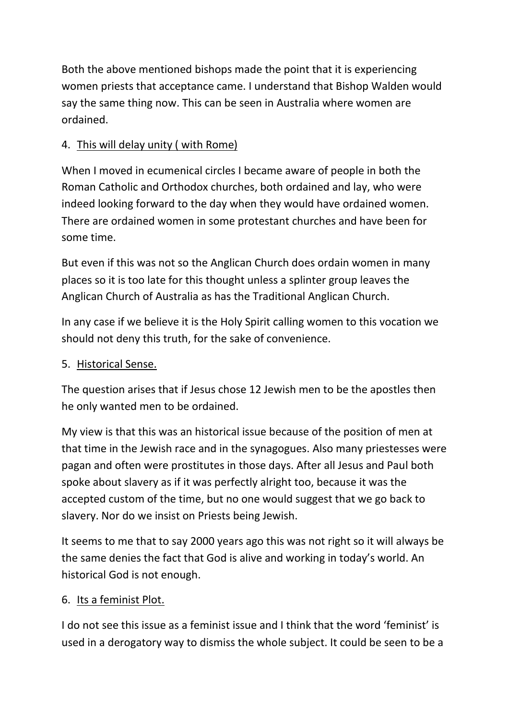Both the above mentioned bishops made the point that it is experiencing women priests that acceptance came. I understand that Bishop Walden would say the same thing now. This can be seen in Australia where women are ordained.

# 4. This will delay unity ( with Rome)

When I moved in ecumenical circles I became aware of people in both the Roman Catholic and Orthodox churches, both ordained and lay, who were indeed looking forward to the day when they would have ordained women. There are ordained women in some protestant churches and have been for some time.

But even if this was not so the Anglican Church does ordain women in many places so it is too late for this thought unless a splinter group leaves the Anglican Church of Australia as has the Traditional Anglican Church.

In any case if we believe it is the Holy Spirit calling women to this vocation we should not deny this truth, for the sake of convenience.

### 5. Historical Sense.

The question arises that if Jesus chose 12 Jewish men to be the apostles then he only wanted men to be ordained.

My view is that this was an historical issue because of the position of men at that time in the Jewish race and in the synagogues. Also many priestesses were pagan and often were prostitutes in those days. After all Jesus and Paul both spoke about slavery as if it was perfectly alright too, because it was the accepted custom of the time, but no one would suggest that we go back to slavery. Nor do we insist on Priests being Jewish.

It seems to me that to say 2000 years ago this was not right so it will always be the same denies the fact that God is alive and working in today's world. An historical God is not enough.

#### 6. Its a feminist Plot.

I do not see this issue as a feminist issue and I think that the word 'feminist' is used in a derogatory way to dismiss the whole subject. It could be seen to be a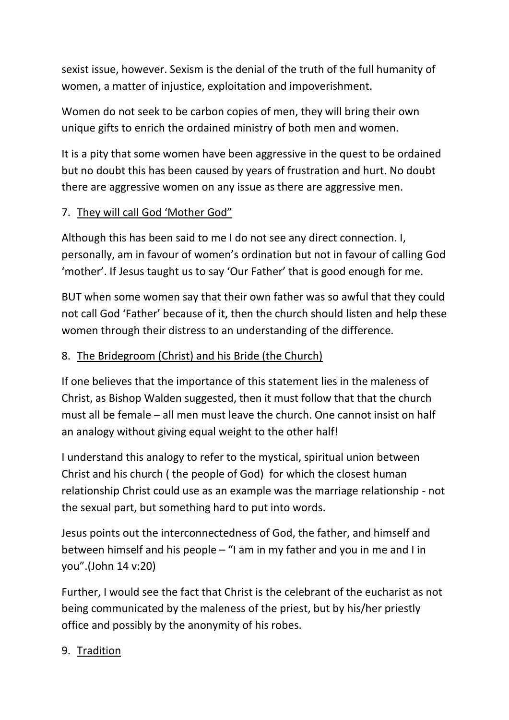sexist issue, however. Sexism is the denial of the truth of the full humanity of women, a matter of injustice, exploitation and impoverishment.

Women do not seek to be carbon copies of men, they will bring their own unique gifts to enrich the ordained ministry of both men and women.

It is a pity that some women have been aggressive in the quest to be ordained but no doubt this has been caused by years of frustration and hurt. No doubt there are aggressive women on any issue as there are aggressive men.

## 7. They will call God 'Mother God"

Although this has been said to me I do not see any direct connection. I, personally, am in favour of women's ordination but not in favour of calling God 'mother'. If Jesus taught us to say 'Our Father' that is good enough for me.

BUT when some women say that their own father was so awful that they could not call God 'Father' because of it, then the church should listen and help these women through their distress to an understanding of the difference.

### 8. The Bridegroom (Christ) and his Bride (the Church)

If one believes that the importance of this statement lies in the maleness of Christ, as Bishop Walden suggested, then it must follow that that the church must all be female – all men must leave the church. One cannot insist on half an analogy without giving equal weight to the other half!

I understand this analogy to refer to the mystical, spiritual union between Christ and his church ( the people of God) for which the closest human relationship Christ could use as an example was the marriage relationship - not the sexual part, but something hard to put into words.

Jesus points out the interconnectedness of God, the father, and himself and between himself and his people – "I am in my father and you in me and I in you".(John 14 v:20)

Further, I would see the fact that Christ is the celebrant of the eucharist as not being communicated by the maleness of the priest, but by his/her priestly office and possibly by the anonymity of his robes.

#### 9. Tradition